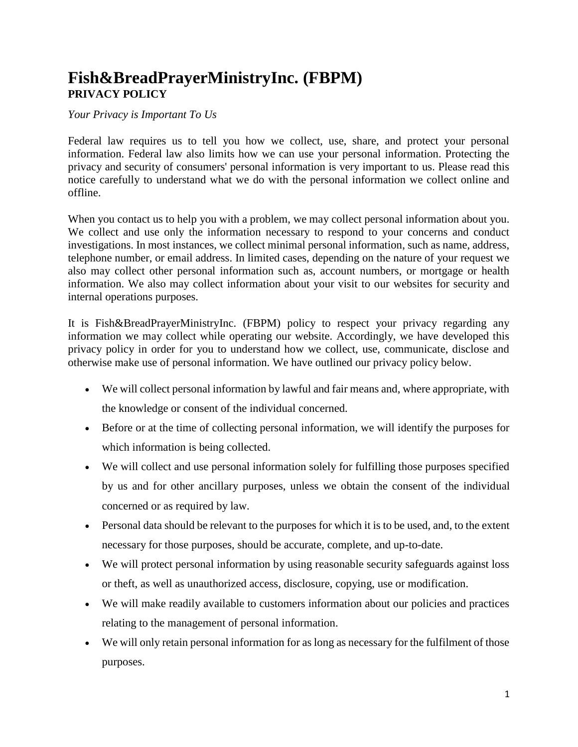# **Fish&BreadPrayerMinistryInc. (FBPM) PRIVACY POLICY**

#### *Your Privacy is Important To Us*

Federal law requires us to tell you how we collect, use, share, and protect your personal information. Federal law also limits how we can use your personal information. Protecting the privacy and security of consumers' personal information is very important to us. Please read this notice carefully to understand what we do with the personal information we collect online and offline.

When you contact us to help you with a problem, we may collect personal information about you. We collect and use only the information necessary to respond to your concerns and conduct investigations. In most instances, we collect minimal personal information, such as name, address, telephone number, or email address. In limited cases, depending on the nature of your request we also may collect other personal information such as, account numbers, or mortgage or health information. We also may collect information about your visit to our websites for security and internal operations purposes.

It is Fish&BreadPrayerMinistryInc. (FBPM) policy to respect your privacy regarding any information we may collect while operating our website. Accordingly, we have developed this privacy policy in order for you to understand how we collect, use, communicate, disclose and otherwise make use of personal information. We have outlined our privacy policy below.

- We will collect personal information by lawful and fair means and, where appropriate, with the knowledge or consent of the individual concerned.
- Before or at the time of collecting personal information, we will identify the purposes for which information is being collected.
- We will collect and use personal information solely for fulfilling those purposes specified by us and for other ancillary purposes, unless we obtain the consent of the individual concerned or as required by law.
- Personal data should be relevant to the purposes for which it is to be used, and, to the extent necessary for those purposes, should be accurate, complete, and up-to-date.
- We will protect personal information by using reasonable security safeguards against loss or theft, as well as unauthorized access, disclosure, copying, use or modification.
- We will make readily available to customers information about our policies and practices relating to the management of personal information.
- We will only retain personal information for as long as necessary for the fulfilment of those purposes.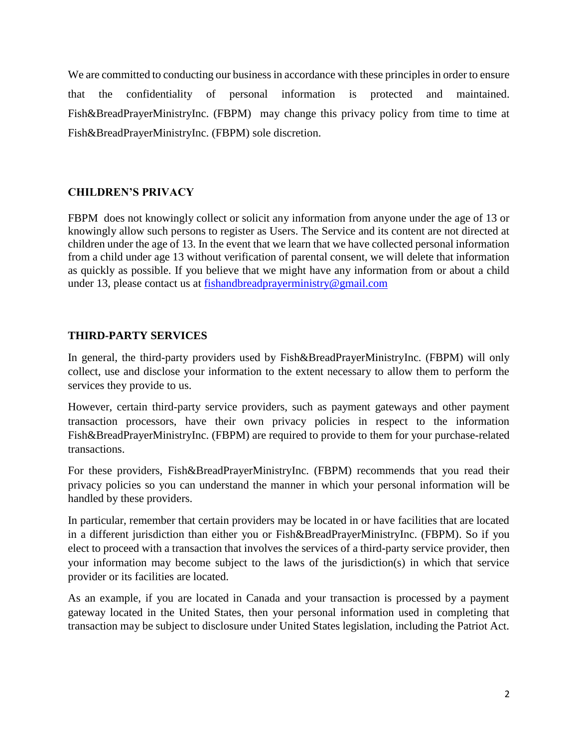We are committed to conducting our business in accordance with these principles in order to ensure that the confidentiality of personal information is protected and maintained. Fish&BreadPrayerMinistryInc. (FBPM) may change this privacy policy from time to time at Fish&BreadPrayerMinistryInc. (FBPM) sole discretion.

## **CHILDREN'S PRIVACY**

FBPM does not knowingly collect or solicit any information from anyone under the age of 13 or knowingly allow such persons to register as Users. The Service and its content are not directed at children under the age of 13. In the event that we learn that we have collected personal information from a child under age 13 without verification of parental consent, we will delete that information as quickly as possible. If you believe that we might have any information from or about a child under 13, please contact us at [fishandbreadprayerm](mailto:fishandbreadprayer)inistry@gmail.com

## **THIRD-PARTY SERVICES**

In general, the third-party providers used by Fish&BreadPrayerMinistryInc. (FBPM) will only collect, use and disclose your information to the extent necessary to allow them to perform the services they provide to us.

However, certain third-party service providers, such as payment gateways and other payment transaction processors, have their own privacy policies in respect to the information Fish&BreadPrayerMinistryInc. (FBPM) are required to provide to them for your purchase-related transactions.

For these providers, Fish&BreadPrayerMinistryInc. (FBPM) recommends that you read their privacy policies so you can understand the manner in which your personal information will be handled by these providers.

In particular, remember that certain providers may be located in or have facilities that are located in a different jurisdiction than either you or Fish&BreadPrayerMinistryInc. (FBPM). So if you elect to proceed with a transaction that involves the services of a third-party service provider, then your information may become subject to the laws of the jurisdiction(s) in which that service provider or its facilities are located.

As an example, if you are located in Canada and your transaction is processed by a payment gateway located in the United States, then your personal information used in completing that transaction may be subject to disclosure under United States legislation, including the Patriot Act.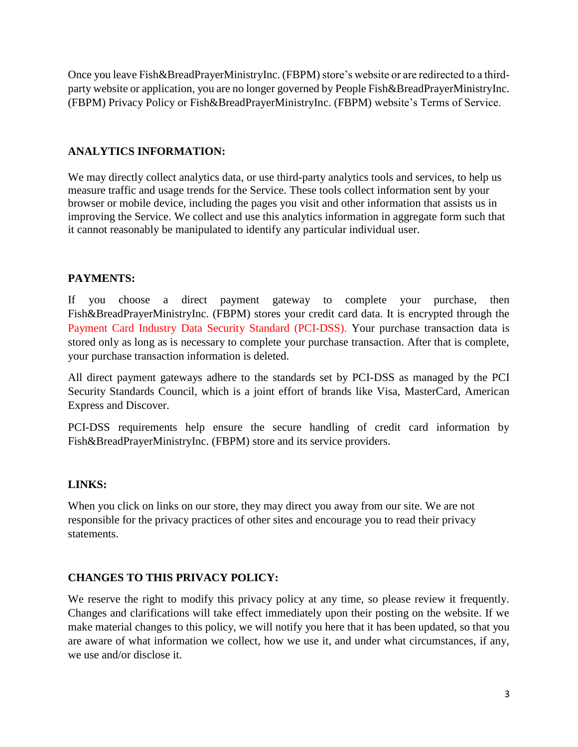Once you leave Fish&BreadPrayerMinistryInc. (FBPM) store's website or are redirected to a thirdparty website or application, you are no longer governed by People Fish&BreadPrayerMinistryInc. (FBPM) Privacy Policy or Fish&BreadPrayerMinistryInc. (FBPM) website's Terms of Service.

#### **ANALYTICS INFORMATION:**

We may directly collect analytics data, or use third-party analytics tools and services, to help us measure traffic and usage trends for the Service. These tools collect information sent by your browser or mobile device, including the pages you visit and other information that assists us in improving the Service. We collect and use this analytics information in aggregate form such that it cannot reasonably be manipulated to identify any particular individual user.

## **PAYMENTS:**

If you choose a direct payment gateway to complete your purchase, then Fish&BreadPrayerMinistryInc. (FBPM) stores your credit card data. It is encrypted through the Payment Card Industry Data Security Standard (PCI-DSS). Your purchase transaction data is stored only as long as is necessary to complete your purchase transaction. After that is complete, your purchase transaction information is deleted.

All direct payment gateways adhere to the standards set by PCI-DSS as managed by the PCI Security Standards Council, which is a joint effort of brands like Visa, MasterCard, American Express and Discover.

PCI-DSS requirements help ensure the secure handling of credit card information by Fish&BreadPrayerMinistryInc. (FBPM) store and its service providers.

#### **LINKS:**

When you click on links on our store, they may direct you away from our site. We are not responsible for the privacy practices of other sites and encourage you to read their privacy statements.

## **CHANGES TO THIS PRIVACY POLICY:**

We reserve the right to modify this privacy policy at any time, so please review it frequently. Changes and clarifications will take effect immediately upon their posting on the website. If we make material changes to this policy, we will notify you here that it has been updated, so that you are aware of what information we collect, how we use it, and under what circumstances, if any, we use and/or disclose it.